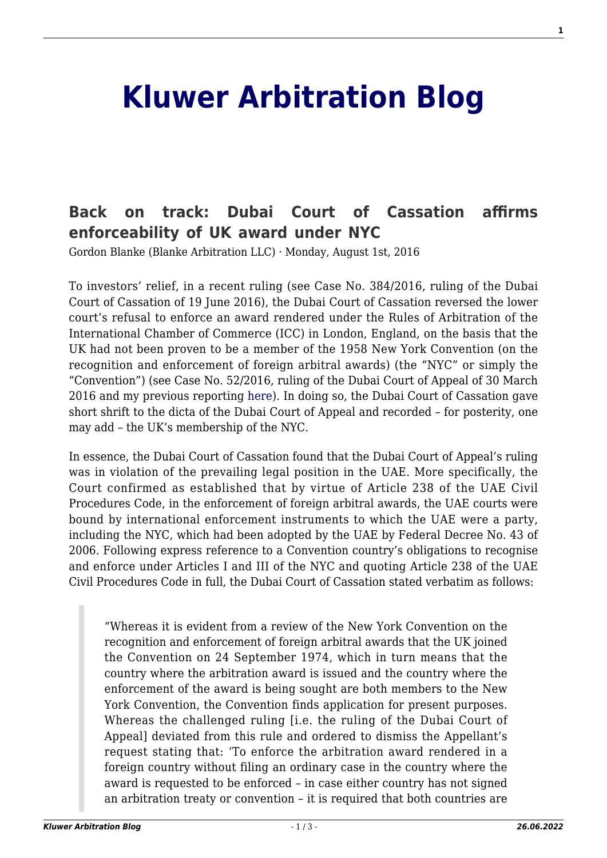## **[Kluwer Arbitration Blog](http://arbitrationblog.kluwerarbitration.com/)**

## **[Back on track: Dubai Court of Cassation affirms](http://arbitrationblog.kluwerarbitration.com/2016/08/01/back-track-dubai-court-cassation-affirms-enforceability-uk-award-nyc/) [enforceability of UK award under NYC](http://arbitrationblog.kluwerarbitration.com/2016/08/01/back-track-dubai-court-cassation-affirms-enforceability-uk-award-nyc/)**

Gordon Blanke (Blanke Arbitration LLC) · Monday, August 1st, 2016

To investors' relief, in a recent ruling (see Case No. 384/2016, ruling of the Dubai Court of Cassation of 19 June 2016), the Dubai Court of Cassation reversed the lower court's refusal to enforce an award rendered under the Rules of Arbitration of the International Chamber of Commerce (ICC) in London, England, on the basis that the UK had not been proven to be a member of the 1958 New York Convention (on the recognition and enforcement of foreign arbitral awards) (the "NYC" or simply the "Convention") (see Case No. 52/2016, ruling of the Dubai Court of Appeal of 30 March 2016 and my previous reporting [here](http://kluwerarbitrationblog.com/2016/05/06/dubai-court-of-appeal-questions-uk-nyc-membership-investors-keep-calm-and-carry-on/)). In doing so, the Dubai Court of Cassation gave short shrift to the dicta of the Dubai Court of Appeal and recorded – for posterity, one may add – the UK's membership of the NYC.

In essence, the Dubai Court of Cassation found that the Dubai Court of Appeal's ruling was in violation of the prevailing legal position in the UAE. More specifically, the Court confirmed as established that by virtue of Article 238 of the UAE Civil Procedures Code, in the enforcement of foreign arbitral awards, the UAE courts were bound by international enforcement instruments to which the UAE were a party, including the NYC, which had been adopted by the UAE by Federal Decree No. 43 of 2006. Following express reference to a Convention country's obligations to recognise and enforce under Articles I and III of the NYC and quoting Article 238 of the UAE Civil Procedures Code in full, the Dubai Court of Cassation stated verbatim as follows:

"Whereas it is evident from a review of the New York Convention on the recognition and enforcement of foreign arbitral awards that the UK joined the Convention on 24 September 1974, which in turn means that the country where the arbitration award is issued and the country where the enforcement of the award is being sought are both members to the New York Convention, the Convention finds application for present purposes. Whereas the challenged ruling [i.e. the ruling of the Dubai Court of Appeal] deviated from this rule and ordered to dismiss the Appellant's request stating that: 'To enforce the arbitration award rendered in a foreign country without filing an ordinary case in the country where the award is requested to be enforced – in case either country has not signed an arbitration treaty or convention – it is required that both countries are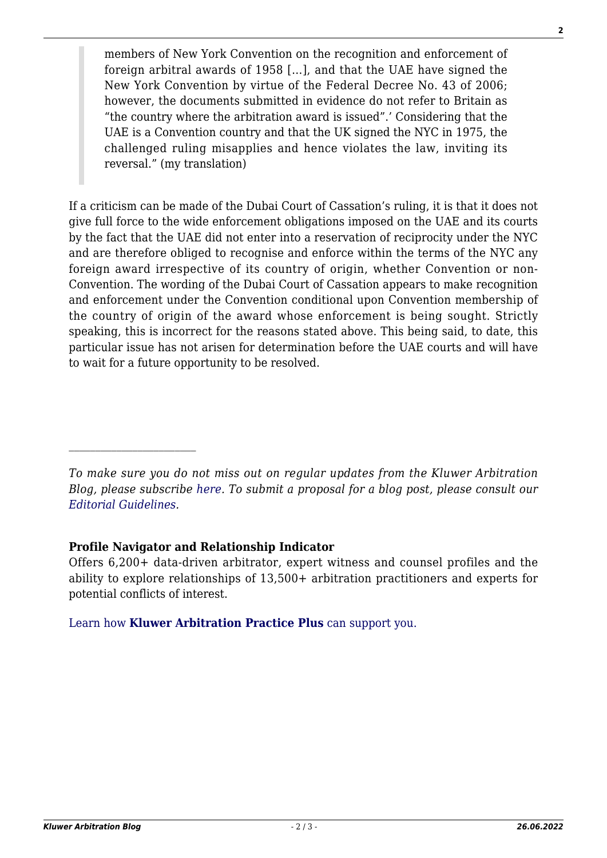members of New York Convention on the recognition and enforcement of foreign arbitral awards of 1958 […], and that the UAE have signed the New York Convention by virtue of the Federal Decree No. 43 of 2006; however, the documents submitted in evidence do not refer to Britain as "the country where the arbitration award is issued".' Considering that the UAE is a Convention country and that the UK signed the NYC in 1975, the challenged ruling misapplies and hence violates the law, inviting its reversal." (my translation)

If a criticism can be made of the Dubai Court of Cassation's ruling, it is that it does not give full force to the wide enforcement obligations imposed on the UAE and its courts by the fact that the UAE did not enter into a reservation of reciprocity under the NYC and are therefore obliged to recognise and enforce within the terms of the NYC any foreign award irrespective of its country of origin, whether Convention or non-Convention. The wording of the Dubai Court of Cassation appears to make recognition and enforcement under the Convention conditional upon Convention membership of the country of origin of the award whose enforcement is being sought. Strictly speaking, this is incorrect for the reasons stated above. This being said, to date, this particular issue has not arisen for determination before the UAE courts and will have to wait for a future opportunity to be resolved.

## **Profile Navigator and Relationship Indicator**

Offers 6,200+ data-driven arbitrator, expert witness and counsel profiles and the ability to explore relationships of 13,500+ arbitration practitioners and experts for potential conflicts of interest.

[Learn how](https://www.wolterskluwer.com/en/solutions/kluwerarbitration/practiceplus?utm_source=arbitrationblog&utm_medium=articleCTA&utm_campaign=article-banner) **[Kluwer Arbitration Practice Plus](https://www.wolterskluwer.com/en/solutions/kluwerarbitration/practiceplus?utm_source=arbitrationblog&utm_medium=articleCTA&utm_campaign=article-banner)** [can support you.](https://www.wolterskluwer.com/en/solutions/kluwerarbitration/practiceplus?utm_source=arbitrationblog&utm_medium=articleCTA&utm_campaign=article-banner)

*To make sure you do not miss out on regular updates from the Kluwer Arbitration Blog, please subscribe [here](http://arbitrationblog.kluwerarbitration.com/newsletter/). To submit a proposal for a blog post, please consult our [Editorial Guidelines.](http://arbitrationblog.kluwerarbitration.com/editorial-guidelines/)*